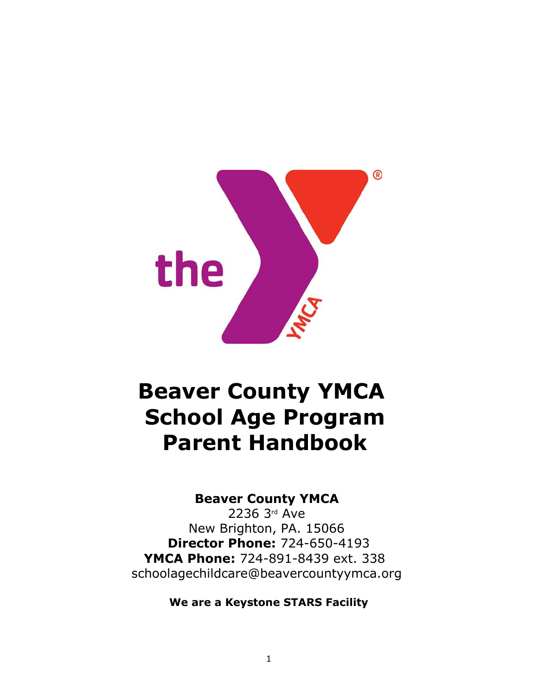

# **Beaver County YMCA School Age Program Parent Handbook**

# **Beaver County YMCA**

2236 3rd Ave New Brighton, PA. 15066 **Director Phone:** 724-650-4193 **YMCA Phone:** 724-891-8439 ext. 338 schoolagechildcare@beavercountyymca.org

**We are a Keystone STARS Facility**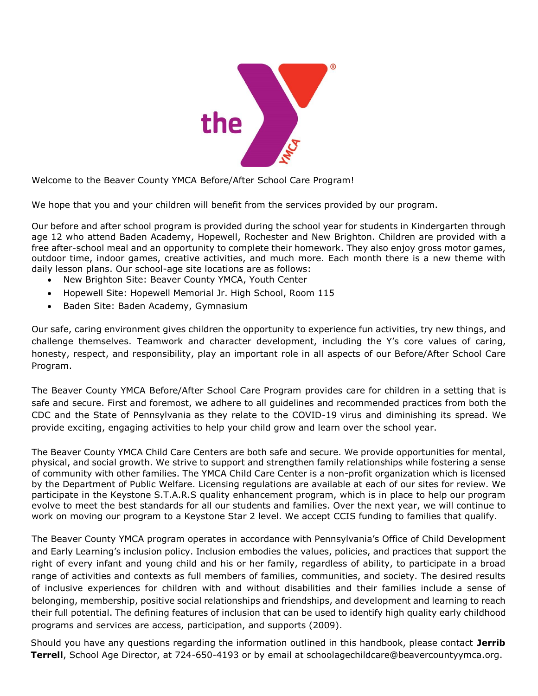

Welcome to the Beaver County YMCA Before/After School Care Program!

We hope that you and your children will benefit from the services provided by our program.

Our before and after school program is provided during the school year for students in Kindergarten through age 12 who attend Baden Academy, Hopewell, Rochester and New Brighton. Children are provided with a free after-school meal and an opportunity to complete their homework. They also enjoy gross motor games, outdoor time, indoor games, creative activities, and much more. Each month there is a new theme with daily lesson plans. Our school-age site locations are as follows:

- New Brighton Site: Beaver County YMCA, Youth Center
- Hopewell Site: Hopewell Memorial Jr. High School, Room 115
- Baden Site: Baden Academy, Gymnasium

Our safe, caring environment gives children the opportunity to experience fun activities, try new things, and challenge themselves. Teamwork and character development, including the Y's core values of caring, honesty, respect, and responsibility, play an important role in all aspects of our Before/After School Care Program.

The Beaver County YMCA Before/After School Care Program provides care for children in a setting that is safe and secure. First and foremost, we adhere to all guidelines and recommended practices from both the CDC and the State of Pennsylvania as they relate to the COVID-19 virus and diminishing its spread. We provide exciting, engaging activities to help your child grow and learn over the school year.

The Beaver County YMCA Child Care Centers are both safe and secure. We provide opportunities for mental, physical, and social growth. We strive to support and strengthen family relationships while fostering a sense of community with other families. The YMCA Child Care Center is a non-profit organization which is licensed by the Department of Public Welfare. Licensing regulations are available at each of our sites for review. We participate in the Keystone S.T.A.R.S quality enhancement program, which is in place to help our program evolve to meet the best standards for all our students and families. Over the next year, we will continue to work on moving our program to a Keystone Star 2 level. We accept CCIS funding to families that qualify.

The Beaver County YMCA program operates in accordance with Pennsylvania's Office of Child Development and Early Learning's inclusion policy. Inclusion embodies the values, policies, and practices that support the right of every infant and young child and his or her family, regardless of ability, to participate in a broad range of activities and contexts as full members of families, communities, and society. The desired results of inclusive experiences for children with and without disabilities and their families include a sense of belonging, membership, positive social relationships and friendships, and development and learning to reach their full potential. The defining features of inclusion that can be used to identify high quality early childhood programs and services are access, participation, and supports (2009).

Should you have any questions regarding the information outlined in this handbook, please contact **Jerrib Terrell**, School Age Director, at 724-650-4193 or by email at schoolagechildcare@beavercountyymca.org.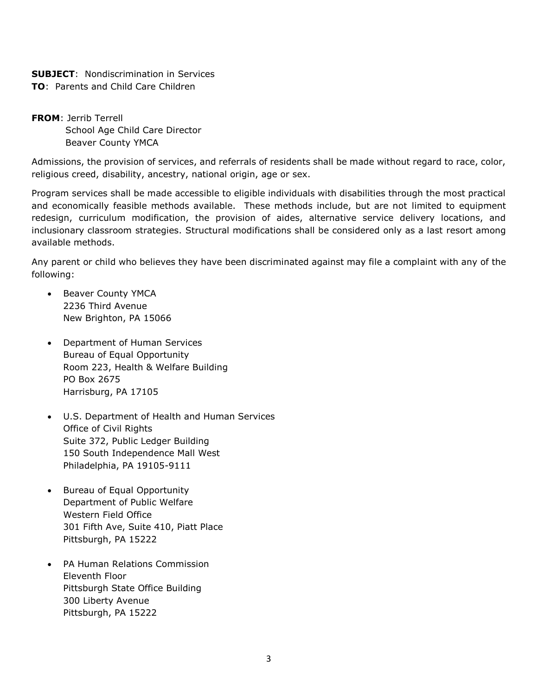# **SUBJECT**: Nondiscrimination in Services

**TO**: Parents and Child Care Children

**FROM**: Jerrib Terrell School Age Child Care Director Beaver County YMCA

Admissions, the provision of services, and referrals of residents shall be made without regard to race, color, religious creed, disability, ancestry, national origin, age or sex.

Program services shall be made accessible to eligible individuals with disabilities through the most practical and economically feasible methods available. These methods include, but are not limited to equipment redesign, curriculum modification, the provision of aides, alternative service delivery locations, and inclusionary classroom strategies. Structural modifications shall be considered only as a last resort among available methods.

Any parent or child who believes they have been discriminated against may file a complaint with any of the following:

- Beaver County YMCA 2236 Third Avenue New Brighton, PA 15066
- Department of Human Services Bureau of Equal Opportunity Room 223, Health & Welfare Building PO Box 2675 Harrisburg, PA 17105
- U.S. Department of Health and Human Services Office of Civil Rights Suite 372, Public Ledger Building 150 South Independence Mall West Philadelphia, PA 19105-9111
- Bureau of Equal Opportunity Department of Public Welfare Western Field Office 301 Fifth Ave, Suite 410, Piatt Place Pittsburgh, PA 15222
- PA Human Relations Commission Eleventh Floor Pittsburgh State Office Building 300 Liberty Avenue Pittsburgh, PA 15222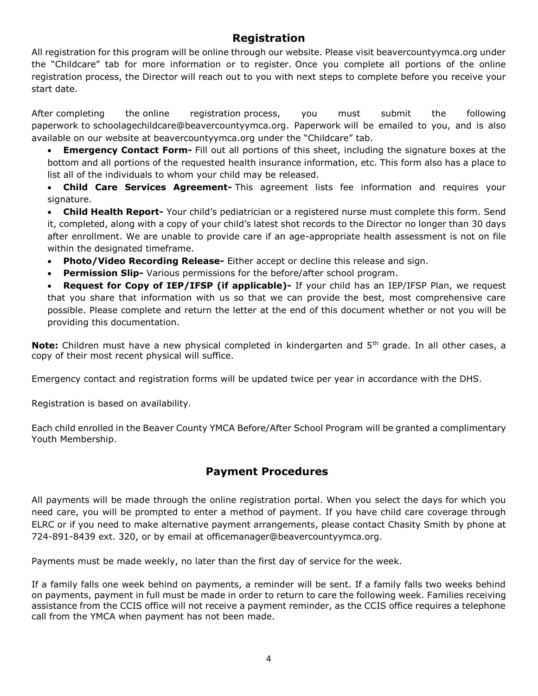## **Registration**

All registration for this program will be online through our website. Please visit beavercountyymca.org under the "Childcare" tab for more information or to register. Once you complete all portions of the online registration process, the Director will reach out to you with next steps to complete before you receive your start date.

After completing the online registration process, you must submit the following paperwork to schoolagechildcare@beavercountyymca.org. Paperwork will be emailed to you, and is also available on our website at beavercountyymca.org under the "Childcare" tab.

 **Emergency Contact Form-** Fill out all portions of this sheet, including the signature boxes at the bottom and all portions of the requested health insurance information, etc. This form also has a place to list all of the individuals to whom your child may be released.

 **Child Care Services Agreement-** This agreement lists fee information and requires your signature.

 **Child Health Report-** Your child's pediatrician or a registered nurse must complete this form. Send it, completed, along with a copy of your child's latest shot records to the Director no longer than 30 days after enrollment. We are unable to provide care if an age-appropriate health assessment is not on file within the designated timeframe.

- **Photo/Video Recording Release-** Either accept or decline this release and sign.
- **Permission Slip-** Various permissions for the before/after school program.

 **Request for Copy of IEP/IFSP (if applicable)-** If your child has an IEP/IFSP Plan, we request that you share that information with us so that we can provide the best, most comprehensive care possible. Please complete and return the letter at the end of this document whether or not you will be providing this documentation.

**Note:** Children must have a new physical completed in kindergarten and 5<sup>th</sup> grade. In all other cases, a copy of their most recent physical will suffice.

Emergency contact and registration forms will be updated twice per year in accordance with the DHS.

Registration is based on availability.

Each child enrolled in the Beaver County YMCA Before/After School Program will be granted a complimentary Youth Membership.

## **Payment Procedures**

All payments will be made through the online registration portal. When you select the days for which you need care, you will be prompted to enter a method of payment. If you have child care coverage through ELRC or if you need to make alternative payment arrangements, please contact Chasity Smith by phone at 724-891-8439 ext. 320, or by email at officemanager@beavercountyymca.org.

Payments must be made weekly, no later than the first day of service for the week.

If a family falls one week behind on payments, a reminder will be sent. If a family falls two weeks behind on payments, payment in full must be made in order to return to care the following week. Families receiving assistance from the CCIS office will not receive a payment reminder, as the CCIS office requires a telephone call from the YMCA when payment has not been made.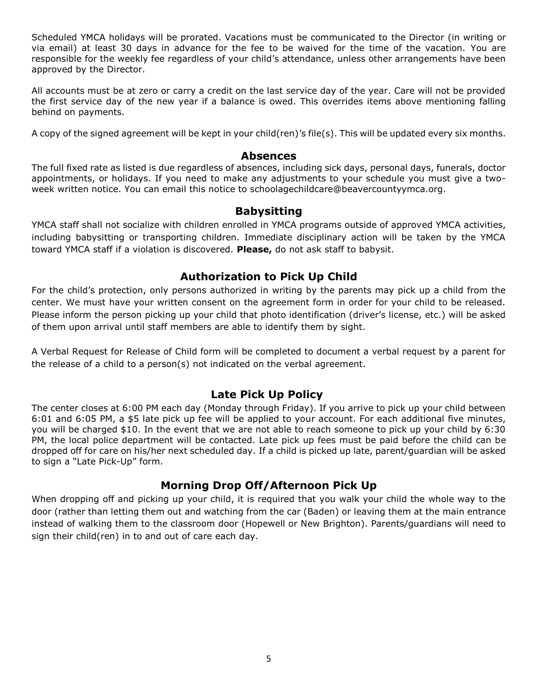Scheduled YMCA holidays will be prorated. Vacations must be communicated to the Director (in writing or via email) at least 30 days in advance for the fee to be waived for the time of the vacation. You are responsible for the weekly fee regardless of your child's attendance, unless other arrangements have been approved by the Director.

All accounts must be at zero or carry a credit on the last service day of the year. Care will not be provided the first service day of the new year if a balance is owed. This overrides items above mentioning falling behind on payments.

A copy of the signed agreement will be kept in your child(ren)'s file(s). This will be updated every six months.

#### **Absences**

The full fixed rate as listed is due regardless of absences, including sick days, personal days, funerals, doctor appointments, or holidays. If you need to make any adjustments to your schedule you must give a twoweek written notice. You can email this notice to schoolagechildcare@beavercountyymca.org.

#### **Babysitting**

YMCA staff shall not socialize with children enrolled in YMCA programs outside of approved YMCA activities, including babysitting or transporting children. Immediate disciplinary action will be taken by the YMCA toward YMCA staff if a violation is discovered. **Please,** do not ask staff to babysit.

#### **Authorization to Pick Up Child**

For the child's protection, only persons authorized in writing by the parents may pick up a child from the center. We must have your written consent on the agreement form in order for your child to be released. Please inform the person picking up your child that photo identification (driver's license, etc.) will be asked of them upon arrival until staff members are able to identify them by sight.

A Verbal Request for Release of Child form will be completed to document a verbal request by a parent for the release of a child to a person(s) not indicated on the verbal agreement.

#### **Late Pick Up Policy**

The center closes at 6:00 PM each day (Monday through Friday). If you arrive to pick up your child between 6:01 and 6:05 PM, a \$5 late pick up fee will be applied to your account. For each additional five minutes, you will be charged \$10. In the event that we are not able to reach someone to pick up your child by 6:30 PM, the local police department will be contacted. Late pick up fees must be paid before the child can be dropped off for care on his/her next scheduled day. If a child is picked up late, parent/guardian will be asked to sign a "Late Pick-Up" form.

#### **Morning Drop Off/Afternoon Pick Up**

When dropping off and picking up your child, it is required that you walk your child the whole way to the door (rather than letting them out and watching from the car (Baden) or leaving them at the main entrance instead of walking them to the classroom door (Hopewell or New Brighton). Parents/guardians will need to sign their child(ren) in to and out of care each day.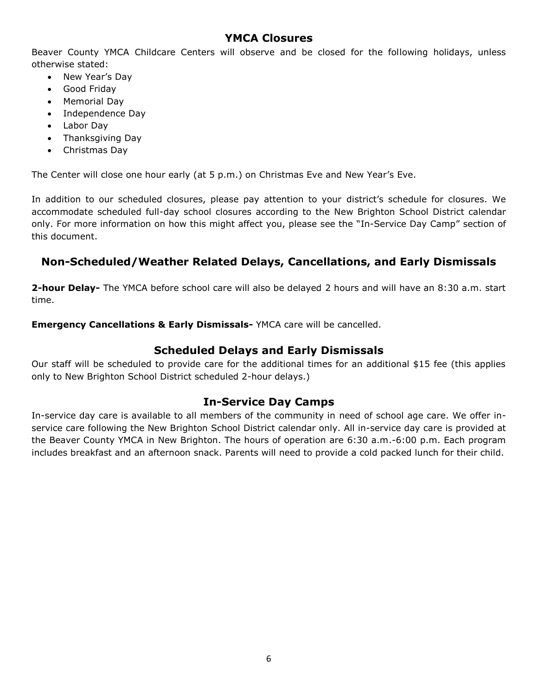#### **YMCA Closures**

Beaver County YMCA Childcare Centers will observe and be closed for the following holidays, unless otherwise stated:

- New Year's Dav
- Good Friday
- Memorial Day
- Independence Day
- Labor Day
- Thanksgiving Day
- Christmas Day

The Center will close one hour early (at 5 p.m.) on Christmas Eve and New Year's Eve.

In addition to our scheduled closures, please pay attention to your district's schedule for closures. We accommodate scheduled full-day school closures according to the New Brighton School District calendar only. For more information on how this might affect you, please see the "In-Service Day Camp" section of this document.

## **Non-Scheduled/Weather Related Delays, Cancellations, and Early Dismissals**

**2-hour Delay-** The YMCA before school care will also be delayed 2 hours and will have an 8:30 a.m. start time.

**Emergency Cancellations & Early Dismissals-** YMCA care will be cancelled.

#### **Scheduled Delays and Early Dismissals**

Our staff will be scheduled to provide care for the additional times for an additional \$15 fee (this applies only to New Brighton School District scheduled 2-hour delays.)

#### **In-Service Day Camps**

In-service day care is available to all members of the community in need of school age care. We offer inservice care following the New Brighton School District calendar only. All in-service day care is provided at the Beaver County YMCA in New Brighton. The hours of operation are 6:30 a.m.-6:00 p.m. Each program includes breakfast and an afternoon snack. Parents will need to provide a cold packed lunch for their child.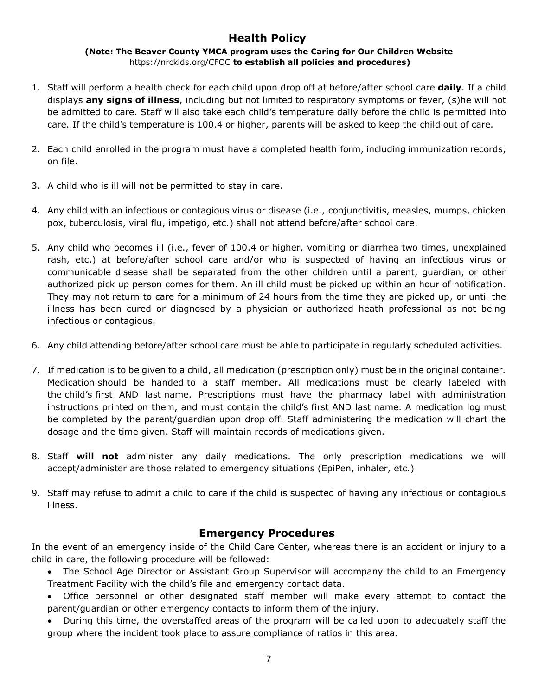## **Health Policy**

**(Note: The Beaver County YMCA program uses the Caring for Our Children Website** https://nrckids.org/CFOC **to establish all policies and procedures)**

- 1. Staff will perform a health check for each child upon drop off at before/after school care **daily**. If a child displays **any signs of illness**, including but not limited to respiratory symptoms or fever, (s)he will not be admitted to care. Staff will also take each child's temperature daily before the child is permitted into care. If the child's temperature is 100.4 or higher, parents will be asked to keep the child out of care.
- 2. Each child enrolled in the program must have a completed health form, including immunization records, on file.
- 3. A child who is ill will not be permitted to stay in care.
- 4. Any child with an infectious or contagious virus or disease (i.e., conjunctivitis, measles, mumps, chicken pox, tuberculosis, viral flu, impetigo, etc.) shall not attend before/after school care.
- 5. Any child who becomes ill (i.e., fever of 100.4 or higher, vomiting or diarrhea two times, unexplained rash, etc.) at before/after school care and/or who is suspected of having an infectious virus or communicable disease shall be separated from the other children until a parent, guardian, or other authorized pick up person comes for them. An ill child must be picked up within an hour of notification. They may not return to care for a minimum of 24 hours from the time they are picked up, or until the illness has been cured or diagnosed by a physician or authorized heath professional as not being infectious or contagious.
- 6. Any child attending before/after school care must be able to participate in regularly scheduled activities.
- 7. If medication is to be given to a child, all medication (prescription only) must be in the original container. Medication should be handed to a staff member. All medications must be clearly labeled with the child's first AND last name. Prescriptions must have the pharmacy label with administration instructions printed on them, and must contain the child's first AND last name. A medication log must be completed by the parent/guardian upon drop off. Staff administering the medication will chart the dosage and the time given. Staff will maintain records of medications given.
- 8. Staff **will not** administer any daily medications. The only prescription medications we will accept/administer are those related to emergency situations (EpiPen, inhaler, etc.)
- 9. Staff may refuse to admit a child to care if the child is suspected of having any infectious or contagious illness.

#### **Emergency Procedures**

In the event of an emergency inside of the Child Care Center, whereas there is an accident or injury to a child in care, the following procedure will be followed:

- The School Age Director or Assistant Group Supervisor will accompany the child to an Emergency Treatment Facility with the child's file and emergency contact data.
- Office personnel or other designated staff member will make every attempt to contact the parent/guardian or other emergency contacts to inform them of the injury.
- During this time, the overstaffed areas of the program will be called upon to adequately staff the group where the incident took place to assure compliance of ratios in this area.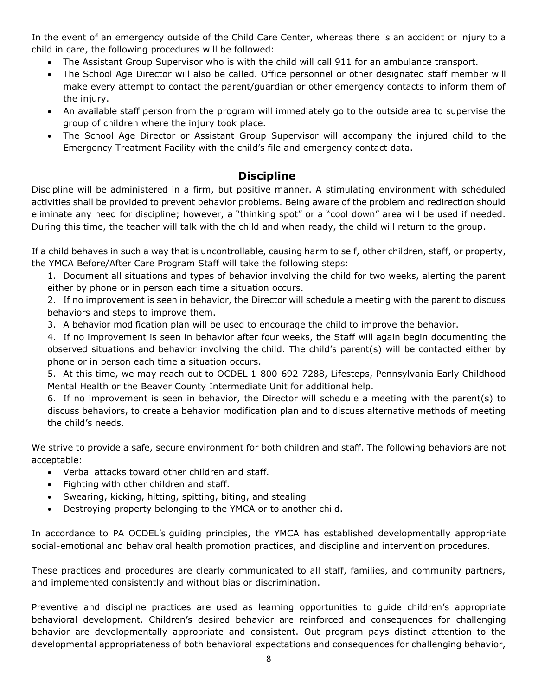In the event of an emergency outside of the Child Care Center, whereas there is an accident or injury to a child in care, the following procedures will be followed:

- The Assistant Group Supervisor who is with the child will call 911 for an ambulance transport.
- The School Age Director will also be called. Office personnel or other designated staff member will make every attempt to contact the parent/guardian or other emergency contacts to inform them of the injury.
- An available staff person from the program will immediately go to the outside area to supervise the group of children where the injury took place.
- The School Age Director or Assistant Group Supervisor will accompany the injured child to the Emergency Treatment Facility with the child's file and emergency contact data.

## **Discipline**

Discipline will be administered in a firm, but positive manner. A stimulating environment with scheduled activities shall be provided to prevent behavior problems. Being aware of the problem and redirection should eliminate any need for discipline; however, a "thinking spot" or a "cool down" area will be used if needed. During this time, the teacher will talk with the child and when ready, the child will return to the group.

If a child behaves in such a way that is uncontrollable, causing harm to self, other children, staff, or property, the YMCA Before/After Care Program Staff will take the following steps:

1. Document all situations and types of behavior involving the child for two weeks, alerting the parent either by phone or in person each time a situation occurs.

2. If no improvement is seen in behavior, the Director will schedule a meeting with the parent to discuss behaviors and steps to improve them.

3. A behavior modification plan will be used to encourage the child to improve the behavior.

4. If no improvement is seen in behavior after four weeks, the Staff will again begin documenting the observed situations and behavior involving the child. The child's parent(s) will be contacted either by phone or in person each time a situation occurs.

5. At this time, we may reach out to OCDEL 1-800-692-7288, Lifesteps, Pennsylvania Early Childhood Mental Health or the Beaver County Intermediate Unit for additional help.

6. If no improvement is seen in behavior, the Director will schedule a meeting with the parent(s) to discuss behaviors, to create a behavior modification plan and to discuss alternative methods of meeting the child's needs.

We strive to provide a safe, secure environment for both children and staff. The following behaviors are not acceptable:

- Verbal attacks toward other children and staff.
- Fighting with other children and staff.
- Swearing, kicking, hitting, spitting, biting, and stealing
- Destroying property belonging to the YMCA or to another child.

In accordance to PA OCDEL's guiding principles, the YMCA has established developmentally appropriate social-emotional and behavioral health promotion practices, and discipline and intervention procedures.

These practices and procedures are clearly communicated to all staff, families, and community partners, and implemented consistently and without bias or discrimination.

Preventive and discipline practices are used as learning opportunities to guide children's appropriate behavioral development. Children's desired behavior are reinforced and consequences for challenging behavior are developmentally appropriate and consistent. Out program pays distinct attention to the developmental appropriateness of both behavioral expectations and consequences for challenging behavior,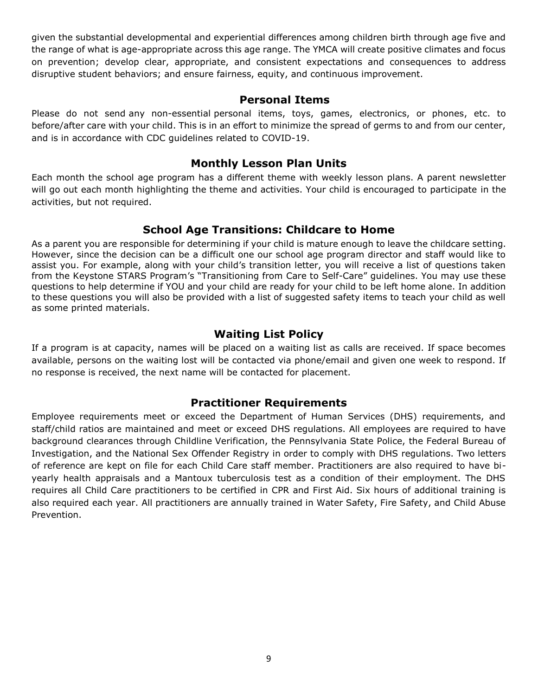given the substantial developmental and experiential differences among children birth through age five and the range of what is age-appropriate across this age range. The YMCA will create positive climates and focus on prevention; develop clear, appropriate, and consistent expectations and consequences to address disruptive student behaviors; and ensure fairness, equity, and continuous improvement.

#### **Personal Items**

Please do not send any non-essential personal items, toys, games, electronics, or phones, etc. to before/after care with your child. This is in an effort to minimize the spread of germs to and from our center, and is in accordance with CDC guidelines related to COVID-19.

#### **Monthly Lesson Plan Units**

Each month the school age program has a different theme with weekly lesson plans. A parent newsletter will go out each month highlighting the theme and activities. Your child is encouraged to participate in the activities, but not required.

#### **School Age Transitions: Childcare to Home**

As a parent you are responsible for determining if your child is mature enough to leave the childcare setting. However, since the decision can be a difficult one our school age program director and staff would like to assist you. For example, along with your child's transition letter, you will receive a list of questions taken from the Keystone STARS Program's "Transitioning from Care to Self-Care" guidelines. You may use these questions to help determine if YOU and your child are ready for your child to be left home alone. In addition to these questions you will also be provided with a list of suggested safety items to teach your child as well as some printed materials.

#### **Waiting List Policy**

If a program is at capacity, names will be placed on a waiting list as calls are received. If space becomes available, persons on the waiting lost will be contacted via phone/email and given one week to respond. If no response is received, the next name will be contacted for placement.

#### **Practitioner Requirements**

Employee requirements meet or exceed the Department of Human Services (DHS) requirements, and staff/child ratios are maintained and meet or exceed DHS regulations. All employees are required to have background clearances through Childline Verification, the Pennsylvania State Police, the Federal Bureau of Investigation, and the National Sex Offender Registry in order to comply with DHS regulations. Two letters of reference are kept on file for each Child Care staff member. Practitioners are also required to have biyearly health appraisals and a Mantoux tuberculosis test as a condition of their employment. The DHS requires all Child Care practitioners to be certified in CPR and First Aid. Six hours of additional training is also required each year. All practitioners are annually trained in Water Safety, Fire Safety, and Child Abuse Prevention.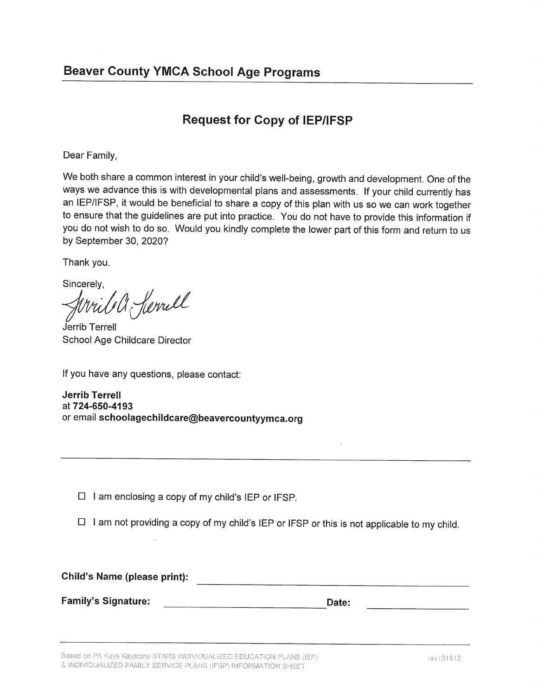# **Request for Copy of IEP/IFSP**

Dear Family,

We both share a common interest in your child's well-being, growth and development. One of the ways we advance this is with developmental plans and assessments. If your child currently has an IEP/IFSP, it would be beneficial to share a copy of this plan with us so we can work together to ensure that the guidelines are put into practice. You do not have to provide this information if you do not wish to do so. Would you kindly complete the lower part of this form and return to us by September 30, 2020?

Thank you.

Sincerely,

Kerrell

Jerrib Terrell School Age Childcare Director

If you have any questions, please contact:

**Jerrib Terrell** at 724-650-4193 or email schoolagechildcare@beavercountyymca.org

 $\Box$  I am enclosing a copy of my child's IEP or IFSP.

 $\Box$  I am not providing a copy of my child's IEP or IFSP or this is not applicable to my child.

Child's Name (please print): **Family's Signature: Date:**